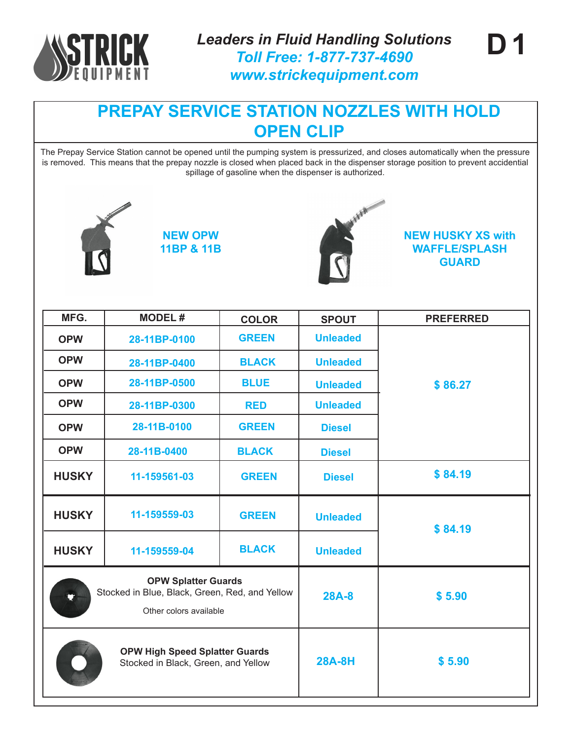

The Prepay Service Station cannot be opened until the pumping system is pressurized, and closes automatically when the pressure is removed. This means that the prepay nozzle is closed when placed back in the dispenser storage position to prevent accidential spillage of gasoline when the dispenser is authorized.



**NEW OPW 11BP & 11B**



**NEW HUSKY XS with WAFFLE/SPLASH GUARD**

**D 1**

| MFG.                                                                                                                           | <b>MODEL#</b>                                                                | <b>COLOR</b> | <b>SPOUT</b>    | <b>PREFERRED</b> |
|--------------------------------------------------------------------------------------------------------------------------------|------------------------------------------------------------------------------|--------------|-----------------|------------------|
| <b>OPW</b>                                                                                                                     | 28-11BP-0100                                                                 | <b>GREEN</b> | <b>Unleaded</b> |                  |
| <b>OPW</b>                                                                                                                     | 28-11BP-0400                                                                 | <b>BLACK</b> | <b>Unleaded</b> |                  |
| <b>OPW</b>                                                                                                                     | 28-11BP-0500                                                                 | <b>BLUE</b>  | <b>Unleaded</b> | \$86.27          |
| <b>OPW</b>                                                                                                                     | 28-11BP-0300                                                                 | <b>RED</b>   | <b>Unleaded</b> |                  |
| <b>OPW</b>                                                                                                                     | 28-11B-0100                                                                  | <b>GREEN</b> | <b>Diesel</b>   |                  |
| <b>OPW</b>                                                                                                                     | 28-11B-0400                                                                  | <b>BLACK</b> | <b>Diesel</b>   |                  |
| <b>HUSKY</b>                                                                                                                   | 11-159561-03                                                                 | <b>GREEN</b> | <b>Diesel</b>   | \$84.19          |
| <b>HUSKY</b>                                                                                                                   | 11-159559-03                                                                 | <b>GREEN</b> | <b>Unleaded</b> | \$84.19          |
| <b>HUSKY</b>                                                                                                                   | 11-159559-04                                                                 | <b>BLACK</b> | <b>Unleaded</b> |                  |
| <b>OPW Splatter Guards</b><br>Stocked in Blue, Black, Green, Red, and Yellow<br>$\blacktriangledown$<br>Other colors available |                                                                              | $28A-8$      | \$5.90          |                  |
|                                                                                                                                | <b>OPW High Speed Splatter Guards</b><br>Stocked in Black, Green, and Yellow |              | <b>28A-8H</b>   | \$5.90           |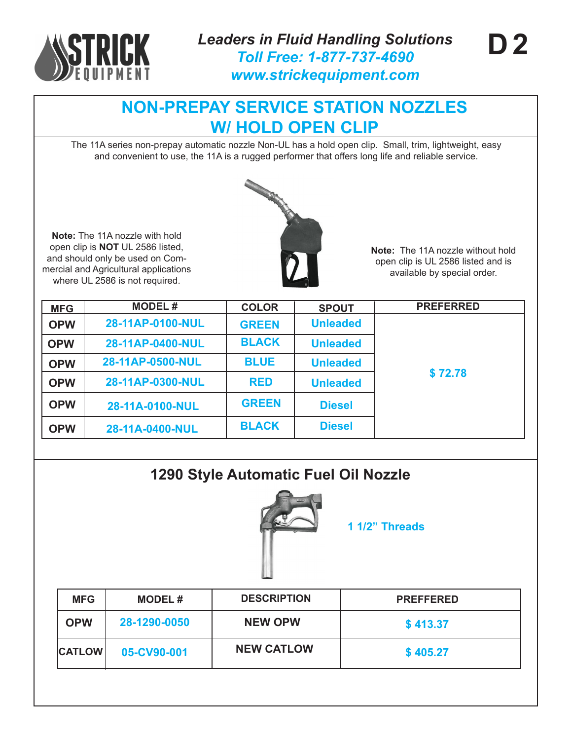

**Note:** The 11A nozzle with hold open clip is **NOT** UL 2586 listed, and should only be used on Commercial and Agricultural applications where UL 2586 is not required.

# **NON-PREPAY SERVICE STATION NOZZLES W/ HOLD OPEN CLIP**

The 11A series non-prepay automatic nozzle Non-UL has a hold open clip. Small, trim, lightweight, easy and convenient to use, the 11A is a rugged performer that offers long life and reliable service.



**Note:** The 11A nozzle without hold open clip is UL 2586 listed and is available by special order.

| <b>MFG</b> | <b>MODEL#</b>    | <b>COLOR</b> | <b>SPOUT</b>    | <b>PREFERRED</b> |
|------------|------------------|--------------|-----------------|------------------|
| <b>OPW</b> | 28-11AP-0100-NUL | <b>GREEN</b> | <b>Unleaded</b> |                  |
| <b>OPW</b> | 28-11AP-0400-NUL | <b>BLACK</b> | <b>Unleaded</b> |                  |
| <b>OPW</b> | 28-11AP-0500-NUL | <b>BLUE</b>  | <b>Unleaded</b> |                  |
| <b>OPW</b> | 28-11AP-0300-NUL | <b>RED</b>   | <b>Unleaded</b> | \$72.78          |
| <b>OPW</b> | 28-11A-0100-NUL  | <b>GREEN</b> | <b>Diesel</b>   |                  |
| <b>OPW</b> | 28-11A-0400-NUL  | <b>BLACK</b> | <b>Diesel</b>   |                  |

## **1290 Style Automatic Fuel Oil Nozzle**



**1 1/2" Threads**

| <b>MFG</b>    | <b>MODEL#</b> | <b>DESCRIPTION</b> | <b>PREFFERED</b> |
|---------------|---------------|--------------------|------------------|
| <b>OPW</b>    | 28-1290-0050  | <b>NEW OPW</b>     | \$413.37         |
| <b>CATLOW</b> | 05-CV90-001   | <b>NEW CATLOW</b>  | \$405.27         |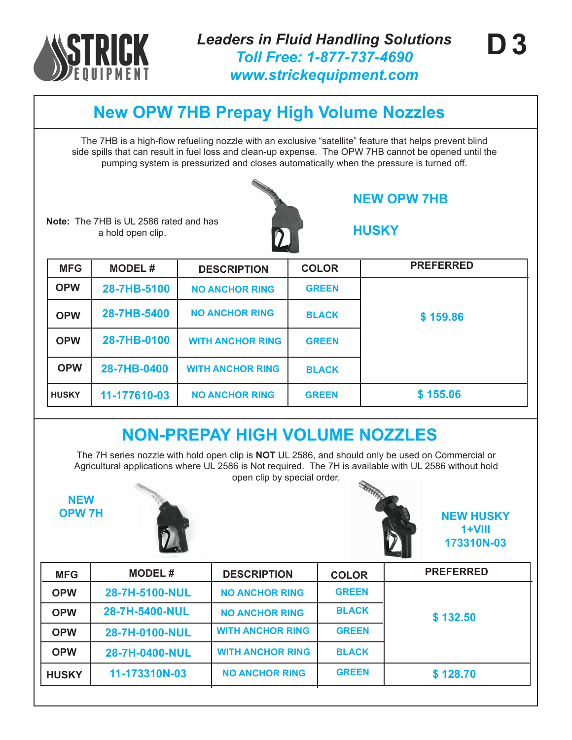

# **New OPW 7HB Prepay High Volume Nozzles**

The 7HB is a high-flow refueling nozzle with an exclusive "satellite" feature that helps prevent blind side spills that can result in fuel loss and clean-up expense. The OPW 7HB cannot be opened until the pumping system is pressurized and closes automatically when the pressure is turned off.

**Note:** The 7HB is UL 2586 rated and has a hold open clip.

**NEW OPW 7HB**

**HUSKY**

| <b>MFG</b>   | <b>MODEL#</b> | <b>DESCRIPTION</b>      | <b>COLOR</b> | <b>PREFERRED</b> |
|--------------|---------------|-------------------------|--------------|------------------|
| <b>OPW</b>   | 28-7HB-5100   | <b>NO ANCHOR RING</b>   | <b>GREEN</b> |                  |
| <b>OPW</b>   | 28-7HB-5400   | <b>NO ANCHOR RING</b>   | <b>BLACK</b> | \$159.86         |
| <b>OPW</b>   | 28-7HB-0100   | <b>WITH ANCHOR RING</b> | <b>GREEN</b> |                  |
| <b>OPW</b>   | 28-7HB-0400   | <b>WITH ANCHOR RING</b> | <b>BLACK</b> |                  |
| <b>HUSKY</b> | 11-177610-03  | <b>NO ANCHOR RING</b>   | <b>GREEN</b> | \$155.06         |

# **NON-PREPAY HIGH VOLUME NOZZLES**

The 7H series nozzle with hold open clip is **NOT** UL 2586, and should only be used on Commercial or Agricultural applications where UL 2586 is Not required. The 7H is available with UL 2586 without hold open clip by special order.

**NEW**





**OPW 7H NEW HUSKY 1+VIII 173310N-03**

| <b>MFG</b>   | <b>MODEL#</b>  | <b>DESCRIPTION</b>      | <b>COLOR</b> | <b>PREFERRED</b> |
|--------------|----------------|-------------------------|--------------|------------------|
| <b>OPW</b>   | 28-7H-5100-NUL | <b>NO ANCHOR RING</b>   | <b>GREEN</b> |                  |
| <b>OPW</b>   | 28-7H-5400-NUL | <b>NO ANCHOR RING</b>   | <b>BLACK</b> | \$132.50         |
| <b>OPW</b>   | 28-7H-0100-NUL | <b>WITH ANCHOR RING</b> | <b>GREEN</b> |                  |
| <b>OPW</b>   | 28-7H-0400-NUL | <b>WITH ANCHOR RING</b> | <b>BLACK</b> |                  |
| <b>HUSKY</b> | 11-173310N-03  | <b>NO ANCHOR RING</b>   | <b>GREEN</b> | \$128.70         |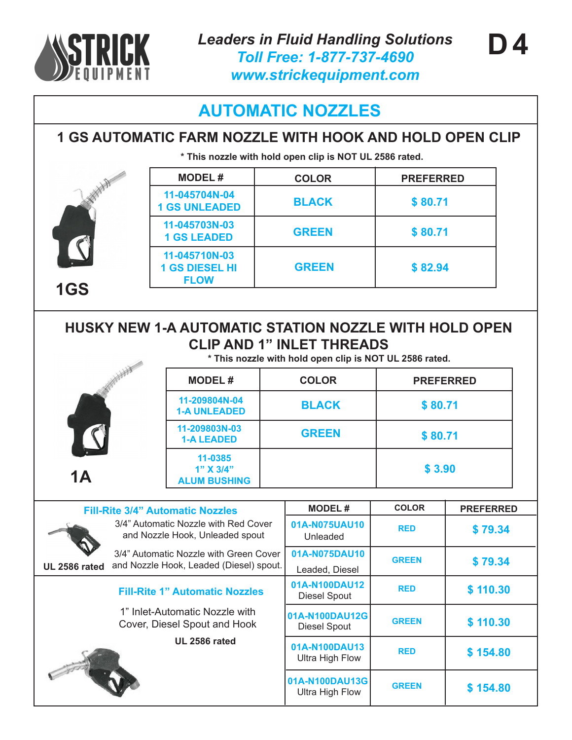

**1GS**

## **AUTOMATIC NOZZLES**

## **1 GS AUTOMATIC FARM NOZZLE WITH HOOK AND HOLD OPEN CLIP**

**\* This nozzle with hold open clip is NOT UL 2586 rated.**

| <b>MODEL#</b>                                         | <b>COLOR</b> | <b>PREFERRED</b> |
|-------------------------------------------------------|--------------|------------------|
| 11-045704N-04<br><b>1 GS UNLEADED</b>                 | <b>BLACK</b> | \$80.71          |
| 11-045703N-03<br><b>1 GS LEADED</b>                   | <b>GREEN</b> | \$80.71          |
| 11-045710N-03<br><b>1 GS DIESEL HI</b><br><b>FLOW</b> | <b>GREEN</b> | \$82.94          |

### **HUSKY NEW 1-A AUTOMATIC STATION NOZZLE WITH HOLD OPEN CLIP AND 1" INLET THREADS**

**\* This nozzle with hold open clip is NOT UL 2586 rated.**

|    |                                             | This hozzle with hold open clip is NOT UL 2500 rated. |         |  |  |
|----|---------------------------------------------|-------------------------------------------------------|---------|--|--|
|    | <b>MODEL#</b>                               | <b>COLOR</b><br><b>PREFERRED</b>                      |         |  |  |
|    | 11-209804N-04<br><b>1-A UNLEADED</b>        | <b>BLACK</b>                                          | \$80.71 |  |  |
|    | 11-209803N-03<br><b>1-A LEADED</b>          | <b>GREEN</b>                                          | \$80.71 |  |  |
| 1A | 11-0385<br>1" X 3/4"<br><b>ALUM BUSHING</b> |                                                       | \$3.90  |  |  |

| <b>Fill-Rite 3/4" Automatic Nozzles</b>                                                                   | <b>MODEL#</b>                           | <b>COLOR</b> | <b>PREFERRED</b> |
|-----------------------------------------------------------------------------------------------------------|-----------------------------------------|--------------|------------------|
| 3/4" Automatic Nozzle with Red Cover<br>and Nozzle Hook, Unleaded spout                                   | 01A-N075UAU10<br>Unleaded               | <b>RED</b>   | \$79.34          |
| 3/4" Automatic Nozzle with Green Cover<br>and Nozzle Hook, Leaded (Diesel) spout.<br><b>UL 2586 rated</b> | 01A-N075DAU10<br>Leaded, Diesel         | <b>GREEN</b> | \$79.34          |
| <b>Fill-Rite 1" Automatic Nozzles</b>                                                                     | 01A-N100DAU12<br><b>Diesel Spout</b>    | <b>RED</b>   | \$110.30         |
| 1" Inlet-Automatic Nozzle with<br>Cover, Diesel Spout and Hook                                            | 01A-N100DAU12G<br><b>Diesel Spout</b>   | <b>GREEN</b> | \$110.30         |
| <b>UL 2586 rated</b>                                                                                      | 01A-N100DAU13<br><b>Ultra High Flow</b> | <b>RED</b>   | \$154.80         |
|                                                                                                           | 01A-N100DAU13G<br>Ultra High Flow       | <b>GREEN</b> | \$154.80         |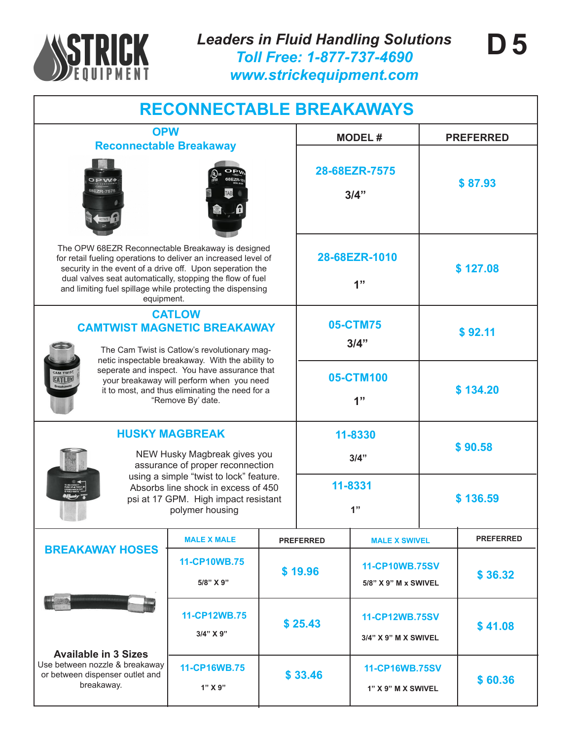

*Leaders in Fluid Handling Solutions Toll Free: 1-877-737-4690 www.strickequipment.com*

| <b>RECONNECTABLE BREAKAWAYS</b> |  |
|---------------------------------|--|
|                                 |  |

### **Reconnectable Breakaway**





The OPW 68EZR Reconnectable Breakaway is design for retail fueling operations to deliver an increased level security in the event of a drive off. Upon seperation the dual valves seat automatically, stopping the flow of fu and limiting fuel spillage while protecting the dispensin equipment.

#### **CATLOW CAMTWIST MAGNETIC BREAKAW**

The Cam Twist is Catlow's revolutionary ma netic inspectable breakaway. With the abilit seperate and inspect. You have assurance your breakaway will perform when you ne it to most, and thus eliminating the need fo "Remove By' date.

#### **HUSKY MAGBREAK**

NEW Husky Magbreak gives assurance of proper reconnect using a simple "twist to lock" fea Absorbs line shock in excess of psi at 17 GPM. High impact resi polymer housing

**11-CP10WB.75**

**MALE X MALE** 

**5/8" X 9"**

**11-CP16WB.75**

**1" X 9"**

**11-CP12WB.75 3/4" X 9"**

**\$ 25.43**

**\$ 33.46**

| <b>BLE BREAKAWAYS</b>         |                                                          |                       |                  |  |
|-------------------------------|----------------------------------------------------------|-----------------------|------------------|--|
|                               |                                                          | <b>MODEL#</b>         | <b>PREFERRED</b> |  |
|                               |                                                          | 28-68EZR-7575<br>3/4" | \$87.93          |  |
| ıed<br>l of<br>٦e<br>el<br>٦g |                                                          | 28-68EZR-1010<br>1"   | \$127.08         |  |
| <b>IAY</b><br>ag-             | 05-CTM75<br>3/4"                                         |                       | \$92.11          |  |
| that<br>ed<br>r a             | ty to<br>05-CTM100<br>1"                                 | \$134.20              |                  |  |
| /ou<br>tion                   |                                                          | 11-8330<br>3/4"       | \$90.58          |  |
| iture.<br>1450<br>istant      | 11-8331<br>1"                                            |                       | \$136.59         |  |
|                               | <b>PREFERRED</b>                                         | <b>MALE X SWIVEL</b>  | <b>PREFERRED</b> |  |
|                               | <b>11-CP10WB.75SV</b><br>\$19.96<br>5/8" X 9" M x SWIVEL |                       | \$36.32          |  |
|                               |                                                          | 11-CP12WB.75SV        |                  |  |

**3/4" X 9" M X SWIVEL**

**\$ 41.08**

**\$ 60.36**

**11-CP16WB.75SV**

**1" X 9" M X SWIVEL**

**Available in 3 Sizes** Use between nozzle & breakaway or between dispenser outlet and breakaway.

**BREAKAWAY HOSES**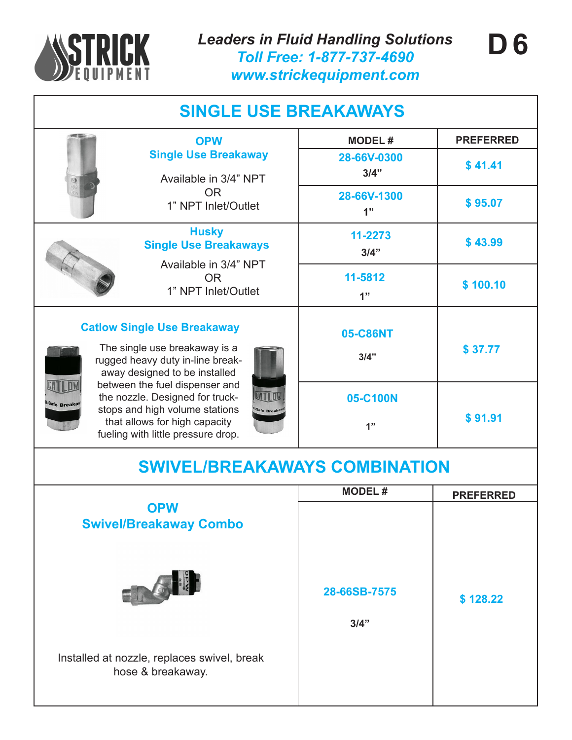

| <b>SINGLE USE BREAKAWAYS</b>                                                                                                                                                                                                                                                                                                                             |                                                                                            |                      |                  |  |
|----------------------------------------------------------------------------------------------------------------------------------------------------------------------------------------------------------------------------------------------------------------------------------------------------------------------------------------------------------|--------------------------------------------------------------------------------------------|----------------------|------------------|--|
|                                                                                                                                                                                                                                                                                                                                                          | <b>OPW</b>                                                                                 | <b>MODEL#</b>        | <b>PREFERRED</b> |  |
|                                                                                                                                                                                                                                                                                                                                                          | <b>Single Use Breakaway</b><br>Available in 3/4" NPT                                       | 28-66V-0300<br>3/4"  | \$41.41          |  |
|                                                                                                                                                                                                                                                                                                                                                          | OR.<br>1" NPT Inlet/Outlet                                                                 | 28-66V-1300<br>1"    | \$95.07          |  |
|                                                                                                                                                                                                                                                                                                                                                          | <b>Husky</b><br><b>Single Use Breakaways</b><br>Available in 3/4" NPT                      | 11-2273<br>3/4"      | \$43.99          |  |
|                                                                                                                                                                                                                                                                                                                                                          | <b>OR</b><br>1" NPT Inlet/Outlet                                                           | 11-5812<br>1"        | \$100.10         |  |
| <b>Catlow Single Use Breakaway</b><br>The single use breakaway is a<br>rugged heavy duty in-line break-<br>away designed to be installed<br>between the fuel dispenser and<br>the nozzle. Designed for truck-<br>il-Safe Breakal<br>stops and high volume stations<br>Safe Breaka<br>that allows for high capacity<br>fueling with little pressure drop. |                                                                                            | 05-C86NT<br>3/4"     | \$37.77          |  |
|                                                                                                                                                                                                                                                                                                                                                          |                                                                                            | 05-C100N<br>1"       | \$91.91          |  |
|                                                                                                                                                                                                                                                                                                                                                          | <b>SWIVEL/BREAKAWAYS COMBINATION</b>                                                       |                      |                  |  |
|                                                                                                                                                                                                                                                                                                                                                          |                                                                                            | <b>MODEL#</b>        | <b>PREFERRED</b> |  |
|                                                                                                                                                                                                                                                                                                                                                          | <b>OPW</b><br><b>Swivel/Breakaway Combo</b><br>Installed at nozzle, replaces swivel, break | 28-66SB-7575<br>3/4" | \$128.22         |  |
|                                                                                                                                                                                                                                                                                                                                                          | hose & breakaway.                                                                          |                      |                  |  |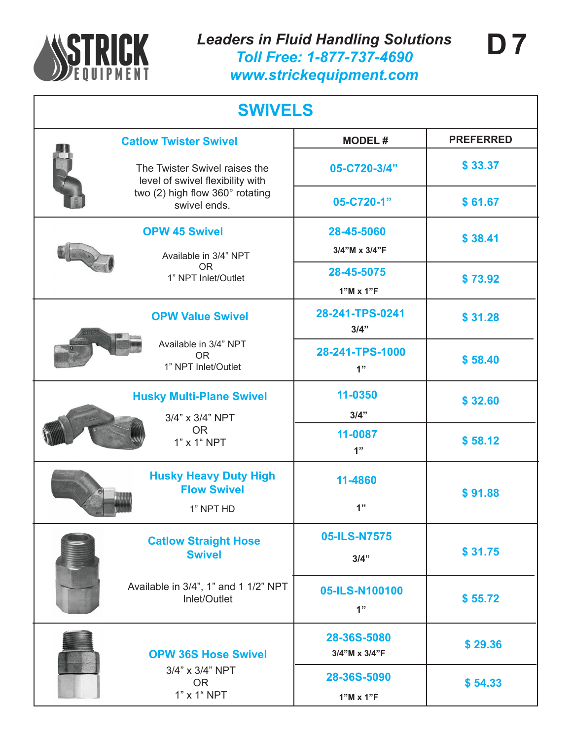

|  | <b>Catlow Twister Swivel</b>                                      | <b>MODEL#</b>           | <b>PREFERRED</b> |  |
|--|-------------------------------------------------------------------|-------------------------|------------------|--|
|  | The Twister Swivel raises the<br>level of swivel flexibility with | 05-C720-3/4"            | \$33.37          |  |
|  | two (2) high flow 360° rotating<br>swivel ends.                   | 05-C720-1"              | \$61.67          |  |
|  | <b>OPW 45 Swivel</b>                                              | 28-45-5060              | \$38.41          |  |
|  | Available in 3/4" NPT                                             | 3/4"M x 3/4"F           |                  |  |
|  | <b>OR</b><br>1" NPT Inlet/Outlet                                  | 28-45-5075              | \$73.92          |  |
|  |                                                                   | $1"M \times 1"F$        |                  |  |
|  | <b>OPW Value Swivel</b>                                           | 28-241-TPS-0241<br>3/4" | \$31.28          |  |
|  | Available in 3/4" NPT<br><b>OR</b><br>1" NPT Inlet/Outlet         | 28-241-TPS-1000<br>1"   | \$58.40          |  |
|  |                                                                   | 11-0350                 | \$32.60          |  |
|  | <b>Husky Multi-Plane Swivel</b><br>3/4" x 3/4" NPT<br><b>OR</b>   | 3/4"                    |                  |  |
|  |                                                                   | 11-0087                 | \$58.12          |  |
|  | 1" x 1" NPT                                                       | 1"                      |                  |  |
|  | <b>Husky Heavy Duty High</b><br><b>Flow Swivel</b>                | 11-4860                 | \$91.88          |  |
|  | 1" NPT HD                                                         | 1"                      |                  |  |
|  | <b>Catlow Straight Hose</b>                                       | 05-ILS-N7575            |                  |  |
|  | <b>Swivel</b>                                                     | 3/4"                    | \$31.75          |  |
|  | Available in 3/4", 1" and 1 1/2" NPT<br>Inlet/Outlet              | 05-ILS-N100100          |                  |  |
|  |                                                                   | 1"                      | \$55.72          |  |
|  |                                                                   | 28-36S-5080             | \$29.36          |  |
|  | <b>OPW 36S Hose Swivel</b>                                        | 3/4"M x 3/4"F           |                  |  |
|  | 3/4" x 3/4" NPT<br><b>OR</b>                                      | 28-36S-5090             | \$54.33          |  |
|  | 1" x 1" NPT                                                       | $1"M \times 1"F$        |                  |  |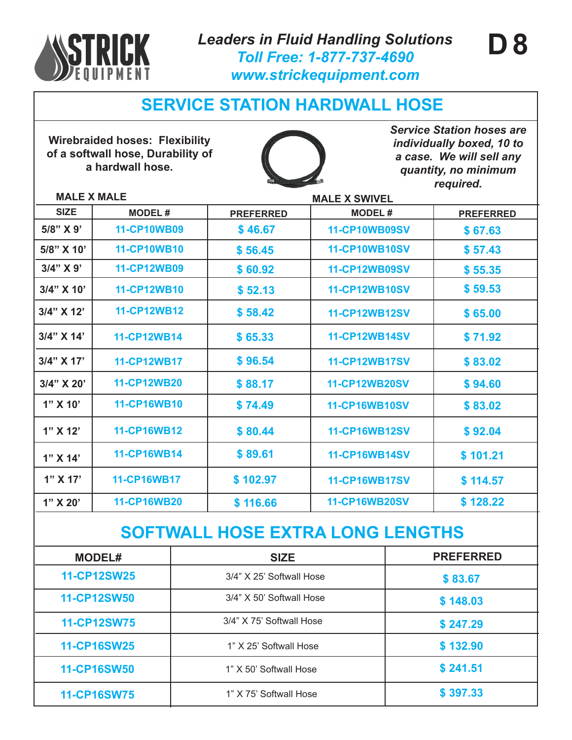

*Leaders in Fluid Handling Solutions Toll Free: 1-877-737-4690 www.strickequipment.com*

## **SERVICE STATION HARDWALL HOSE**

**Wirebraided hoses: Flexibility of a softwall hose, Durability of a hardwall hose.**



*Service Station hoses are individually boxed, 10 to a case. We will sell any quantity, no minimum required.*

**\$ 241.51**

**\$ 397.33**

**D 8**

### **MALE X MALE MALE X SWIVEL**

**11-CP16SW25**

**11-CP16SW50**

**11-CP16SW75**

|                                         |                    | <b>IVIALL A OYYIVLL</b>  |  |                      |                  |  |  |
|-----------------------------------------|--------------------|--------------------------|--|----------------------|------------------|--|--|
| <b>SIZE</b>                             | <b>MODEL#</b>      | <b>PREFERRED</b>         |  | <b>MODEL#</b>        | <b>PREFERRED</b> |  |  |
| 5/8" X 9'                               | <b>11-CP10WB09</b> | \$46.67                  |  | <b>11-CP10WB09SV</b> | \$67.63          |  |  |
| 5/8" X 10'                              | <b>11-CP10WB10</b> | \$56.45                  |  | <b>11-CP10WB10SV</b> | \$57.43          |  |  |
| 3/4" X 9'                               | <b>11-CP12WB09</b> | \$60.92                  |  | <b>11-CP12WB09SV</b> | \$55.35          |  |  |
| 3/4" X 10'                              | 11-CP12WB10        | \$52.13                  |  | <b>11-CP12WB10SV</b> | \$59.53          |  |  |
| 3/4" X 12"                              | <b>11-CP12WB12</b> | \$58.42                  |  | <b>11-CP12WB12SV</b> | \$65.00          |  |  |
| 3/4" X 14'                              | 11-CP12WB14        | \$65.33                  |  | <b>11-CP12WB14SV</b> | \$71.92          |  |  |
| $3/4$ " X 17'                           | <b>11-CP12WB17</b> | \$96.54                  |  | <b>11-CP12WB17SV</b> | \$83.02          |  |  |
| 3/4" X 20'                              | <b>11-CP12WB20</b> | \$88.17                  |  | <b>11-CP12WB20SV</b> | \$94.60          |  |  |
| $1"$ X 10'                              | 11-CP16WB10        | \$74.49                  |  | <b>11-CP16WB10SV</b> | \$83.02          |  |  |
| 1" X 12"                                | 11-CP16WB12        | \$80.44                  |  | <b>11-CP16WB12SV</b> | \$92.04          |  |  |
| 1" X 14"                                | 11-CP16WB14        | \$89.61                  |  | <b>11-CP16WB14SV</b> | \$101.21         |  |  |
| 1" X 17'                                | <b>11-CP16WB17</b> | \$102.97                 |  | <b>11-CP16WB17SV</b> | \$114.57         |  |  |
| 1" X 20"                                | <b>11-CP16WB20</b> | \$116.66                 |  | <b>11-CP16WB20SV</b> | \$128.22         |  |  |
| <b>SOFTWALL HOSE EXTRA LONG LENGTHS</b> |                    |                          |  |                      |                  |  |  |
| <b>MODEL#</b>                           |                    | <b>SIZE</b>              |  |                      | <b>PREFERRED</b> |  |  |
| <b>11-CP12SW25</b>                      |                    | 3/4" X 25' Softwall Hose |  |                      | \$83.67          |  |  |
|                                         |                    |                          |  |                      |                  |  |  |

11-CP12SW50 3/4" X 50' Softwall Hose **\$ 148.03** 

**11-CP12SW75** 3/4" X 75' Softwall Hose **\$ 247.29**

1" X 25' Softwall Hose **\$ 132.90**

1" X 75' Softwall Hose

1" X 50' Softwall Hose